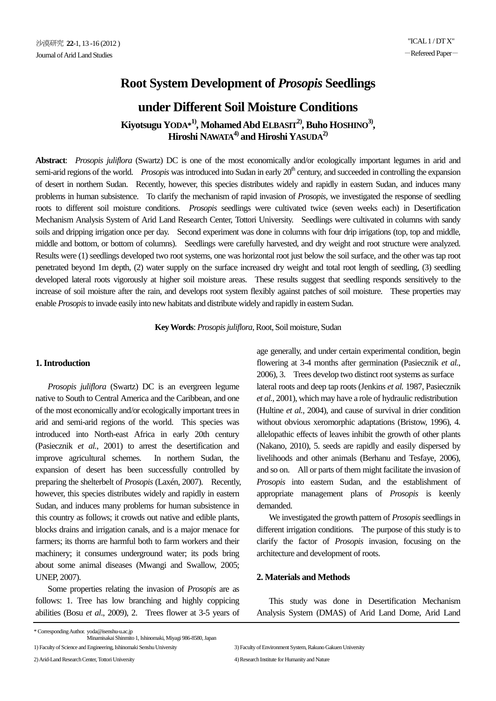# **Root System Development of** *Prosopis* **Seedlings**

## **under Different Soil Moisture Conditions**

**Kiyotsugu YODA\* 1), Mohamed Abd ELBASIT2), Buho HOSHINO3) , Hiroshi NAWATA4) and Hiroshi YASUDA2)**

**Abstract**: *Prosopis juliflora* (Swartz) DC is one of the most economically and/or ecologically important legumes in arid and semi-arid regions of the world. *Prosopis* was introduced into Sudan in early 20<sup>th</sup> century, and succeeded in controlling the expansion of desert in northern Sudan. Recently, however, this species distributes widely and rapidly in eastern Sudan, and induces many problems in human subsistence. To clarify the mechanism of rapid invasion of *Prosopis*, we investigated the response of seedling roots to different soil moisture conditions. *Prosopis* seedlings were cultivated twice (seven weeks each) in Desertification Mechanism Analysis System of Arid Land Research Center, Tottori University. Seedlings were cultivated in columns with sandy soils and dripping irrigation once per day. Second experiment was done in columns with four drip irrigations (top, top and middle, middle and bottom, or bottom of columns). Seedlings were carefully harvested, and dry weight and root structure were analyzed. Results were (1) seedlings developed two root systems, one was horizontal root just below the soil surface, and the other was tap root penetrated beyond 1m depth, (2) water supply on the surface increased dry weight and total root length of seedling, (3) seedling developed lateral roots vigorously at higher soil moisture areas. These results suggest that seedling responds sensitively to the increase of soil moisture after the rain, and develops root system flexibly against patches of soil moisture. These properties may enable *Prosopis*to invade easily into new habitats and distribute widely and rapidly in eastern Sudan.

**Key Words**: *Prosopisjuliflora*, Root, Soil moisture, Sudan

#### **1. Introduction**

 *Prosopis juliflora* (Swartz) DC is an evergreen legume native to South to Central America and the Caribbean, and one of the most economically and/or ecologically important trees in arid and semi-arid regions of the world. This species was introduced into North-east Africa in early 20th century (Pasiecznik *et al.*, 2001) to arrest the desertification and improve agricultural schemes. In northern Sudan, the expansion of desert has been successfully controlled by preparing the shelterbelt of *Prosopis* (Laxén, 2007). Recently, however, this species distributes widely and rapidly in eastern Sudan, and induces many problems for human subsistence in this country as follows; it crowds out native and edible plants, blocks drains and irrigation canals, and is a major menace for farmers; its thorns are harmful both to farm workers and their machinery; it consumes underground water; its pods bring about some animal diseases (Mwangi and Swallow, 2005; UNEP, 2007).

 Some properties relating the invasion of *Prosopis* are as follows: 1. Tree has low branching and highly coppicing abilities (Bosu *et al*., 2009), 2. Trees flower at 3-5 years of age generally, and under certain experimental condition, begin flowering at 3-4 months after germination (Pasiecznik *et al.*, 2006), 3. Trees develop two distinct root systems as surface lateral roots and deep tap roots (Jenkins *et al.* 1987, Pasiecznik *et al.*, 2001), which may have a role of hydraulic redistribution (Hultine *et al.*, 2004), and cause of survival in drier condition without obvious xeromorphic adaptations (Bristow, 1996), 4. allelopathic effects of leaves inhibit the growth of other plants (Nakano, 2010), 5. seeds are rapidly and easily dispersed by livelihoods and other animals (Berhanu and Tesfaye, 2006), and so on. All or parts of them might facilitate the invasion of *Prosopis* into eastern Sudan, and the establishment of appropriate management plans of *Prosopis* is keenly demanded.

We investigated the growth pattern of *Prosopis* seedlings in different irrigation conditions. The purpose of this study is to clarify the factor of *Prosopis* invasion, focusing on the architecture and development of roots.

#### **2. Materials and Methods**

 This study was done in Desertification Mechanism Analysis System (DMAS) of Arid Land Dome, Arid Land

Minamisakai Shinmito 1, Ishinomaki, Miyagi 986-8580, Japan 1) Faculty of Science and Engineering, Ishinomaki Senshu University 3) Faculty of Environment System, Rakuno Gakuen University

2) Arid-Land Research Center, Tottori University 4) Research Institute for Humanity and Nature

<sup>\*</sup> Corresponding Author. yoda@isenshu-u.ac.jp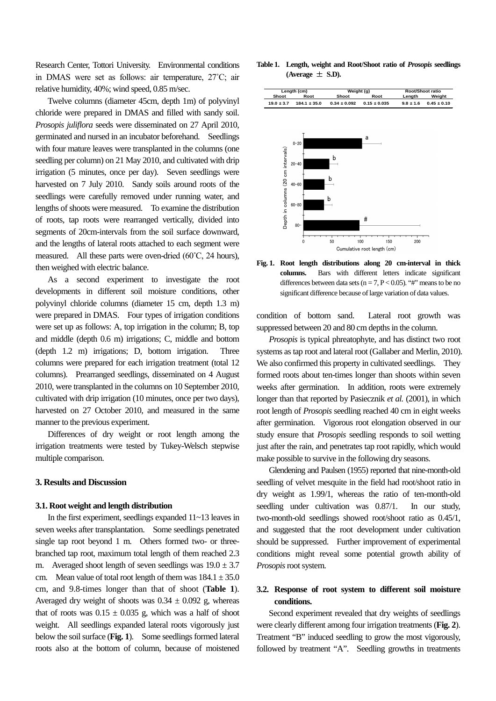Research Center, Tottori University. Environmental conditions in DMAS were set as follows: air temperature, 27˚C; air relative humidity, 40%; wind speed, 0.85 m/sec.

 Twelve columns (diameter 45cm, depth 1m) of polyvinyl chloride were prepared in DMAS and filled with sandy soil. *Prosopis juliflora* seeds were disseminated on 27 April 2010, germinated and nursed in an incubator beforehand. Seedlings with four mature leaves were transplanted in the columns (one seedling per column) on 21 May 2010, and cultivated with drip irrigation (5 minutes, once per day). Seven seedlings were harvested on 7 July 2010. Sandy soils around roots of the seedlings were carefully removed under running water, and lengths of shoots were measured. To examine the distribution of roots, tap roots were rearranged vertically, divided into segments of 20cm-intervals from the soil surface downward, and the lengths of lateral roots attached to each segment were measured. All these parts were oven-dried (60˚C, 24 hours), then weighed with electric balance.

 As a second experiment to investigate the root developments in different soil moisture conditions, other polyvinyl chloride columns (diameter 15 cm, depth 1.3 m) were prepared in DMAS. Four types of irrigation conditions were set up as follows: A, top irrigation in the column; B, top and middle (depth 0.6 m) irrigations; C, middle and bottom (depth 1.2 m) irrigations; D, bottom irrigation. Three columns were prepared for each irrigation treatment (total 12 columns). Prearranged seedlings, disseminated on 4 August 2010, were transplanted in the columns on 10 September 2010, cultivated with drip irrigation (10 minutes, once per two days), harvested on 27 October 2010, and measured in the same manner to the previous experiment.

 Differences of dry weight or root length among the irrigation treatments were tested by Tukey-Welsch stepwise multiple comparison.

#### **3. Results and Discussion**

#### **3.1. Root weight and length distribution**

 In the first experiment, seedlings expanded 11~13 leaves in seven weeks after transplantation. Some seedlings penetrated single tap root beyond 1 m. Others formed two- or threebranched tap root, maximum total length of them reached 2.3 m. Averaged shoot length of seven seedlings was  $19.0 \pm 3.7$ cm. Mean value of total root length of them was  $184.1 \pm 35.0$ cm, and 9.8-times longer than that of shoot (**Table 1**). Averaged dry weight of shoots was  $0.34 \pm 0.092$  g, whereas that of roots was  $0.15 \pm 0.035$  g, which was a half of shoot weight. All seedlings expanded lateral roots vigorously just below the soil surface (**Fig. 1**). Some seedlings formed lateral roots also at the bottom of column, because of moistened **Table 1. Length, weight and Root/Shoot ratio of** *Prosopis* **seedlings**  $(Average \pm S.D)$ .



**Fig. 1. Root length distributions along 20 cm-interval in thick columns.** Bars with different letters indicate significant differences between data sets ( $n = 7$ ,  $P < 0.05$ ). "#" means to be no significant difference because of large variation of data values.

condition of bottom sand. Lateral root growth was suppressed between 20 and 80 cm depths in the column.

 *Prosopis* is typical phreatophyte, and has distinct two root systems as tap root and lateral root (Gallaber and Merlin, 2010). We also confirmed this property in cultivated seedlings. They formed roots about ten-times longer than shoots within seven weeks after germination. In addition, roots were extremely longer than that reported by Pasiecznik *et al.* (2001), in which root length of *Prosopis* seedling reached 40 cm in eight weeks after germination. Vigorous root elongation observed in our study ensure that *Prosopis* seedling responds to soil wetting just after the rain, and penetrates tap root rapidly, which would make possible to survive in the following dry seasons.

 Glendening and Paulsen (1955) reported that nine-month-old seedling of velvet mesquite in the field had root/shoot ratio in dry weight as 1.99/1, whereas the ratio of ten-month-old seedling under cultivation was 0.87/1. In our study, two-month-old seedlings showed root/shoot ratio as 0.45/1, and suggested that the root development under cultivation should be suppressed. Further improvement of experimental conditions might reveal some potential growth ability of *Prosopis* root system.

### **3.2. Response of root system to different soil moisture conditions.**

 Second experiment revealed that dry weights of seedlings were clearly different among four irrigation treatments (**Fig. 2**). Treatment "B" induced seedling to grow the most vigorously, followed by treatment "A". Seedling growths in treatments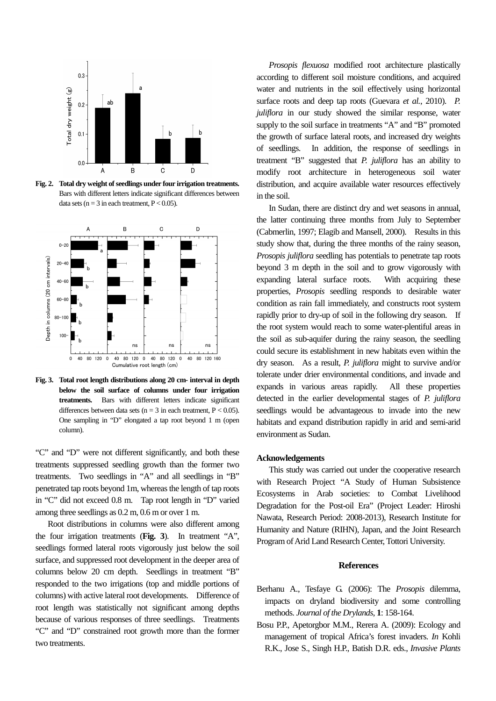

**Fig. 2. Total dry weight of seedlings under four irrigation treatments.** Bars with different letters indicate significant differences between data sets ( $n = 3$  in each treatment,  $P < 0.05$ ).



**Fig. 3. Total root length distributions along 20 cm- interval in depth below the soil surface of columns under four irrigation treatments.** Bars with different letters indicate significant differences between data sets ( $n = 3$  in each treatment,  $P < 0.05$ ). One sampling in "D" elongated a tap root beyond 1 m (open column).

"C" and "D" were not different significantly, and both these treatments suppressed seedling growth than the former two treatments. Two seedlings in "A" and all seedlings in "B" penetrated tap roots beyond 1m, whereas the length of tap roots in "C" did not exceed 0.8 m. Tap root length in "D" varied among three seedlings as 0.2 m, 0.6 m or over 1 m.

 Root distributions in columns were also different among the four irrigation treatments (**Fig. 3**). In treatment "A", seedlings formed lateral roots vigorously just below the soil surface, and suppressed root development in the deeper area of columns below 20 cm depth. Seedlings in treatment "B" responded to the two irrigations (top and middle portions of columns) with active lateral root developments. Difference of root length was statistically not significant among depths because of various responses of three seedlings. Treatments "C" and "D" constrained root growth more than the former two treatments.

 *Prosopis flexuosa* modified root architecture plastically according to different soil moisture conditions, and acquired water and nutrients in the soil effectively using horizontal surface roots and deep tap roots (Guevara *et al.*, 2010). *P. juliflora* in our study showed the similar response, water supply to the soil surface in treatments "A" and "B" promoted the growth of surface lateral roots, and increased dry weights of seedlings. In addition, the response of seedlings in treatment "B" suggested that *P. juliflora* has an ability to modify root architecture in heterogeneous soil water distribution, and acquire available water resources effectively in the soil.

 In Sudan, there are distinct dry and wet seasons in annual, the latter continuing three months from July to September (Cabmerlin, 1997; Elagib and Mansell, 2000). Results in this study show that, during the three months of the rainy season, *Prosopis juliflora* seedling has potentials to penetrate tap roots beyond 3 m depth in the soil and to grow vigorously with expanding lateral surface roots. With acquiring these properties, *Prosopis* seedling responds to desirable water condition as rain fall immediately, and constructs root system rapidly prior to dry-up of soil in the following dry season. If the root system would reach to some water-plentiful areas in the soil as sub-aquifer during the rainy season, the seedling could secure its establishment in new habitats even within the dry season. As a result, *P. juliflora* might to survive and/or tolerate under drier environmental conditions, and invade and expands in various areas rapidly. All these properties detected in the earlier developmental stages of *P. juliflora* seedlings would be advantageous to invade into the new habitats and expand distribution rapidly in arid and semi-arid environment as Sudan.

#### **Acknowledgements**

 This study was carried out under the cooperative research with Research Project "A Study of Human Subsistence Ecosystems in Arab societies: to Combat Livelihood Degradation for the Post-oil Era" (Project Leader: Hiroshi Nawata, Research Period: 2008-2013), Research Institute for Humanity and Nature (RIHN), Japan, and the Joint Research Program of Arid Land Research Center, Tottori University.

#### **References**

- Berhanu A., Tesfaye G. (2006): The *Prosopis* dilemma, impacts on dryland biodiversity and some controlling methods. *Journal of the Drylands*, **1**: 158-164.
- Bosu P.P., Apetorgbor M.M., Rerera A. (2009): Ecology and management of tropical Africa's forest invaders. *In* Kohli R.K., Jose S., Singh H.P., Batish D.R. eds., *Invasive Plants*